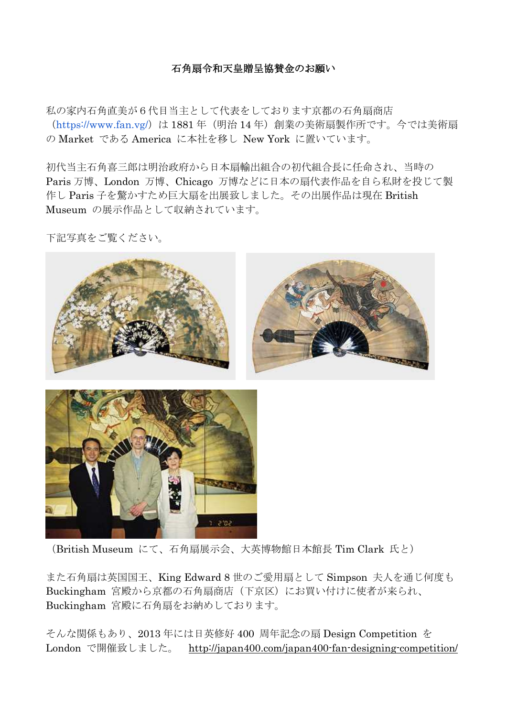#### 石角扇令和天皇贈呈協賛金のお願い

私の家内石角直美が6代目当主として代表をしております京都の石角扇商店 (https://www.fan.vg/)は 1881 年(明治 14 年)創業の美術扇製作所です。今では美術扇 の Market である America に本社を移し New York に置いています。

初代当主石角喜三郎は明治政府から日本扇輸出組合の初代組合長に任命され、当時の Paris 万博、London 万博、Chicago 万博などに日本の扇代表作品を自ら私財を投じて製 作し Paris 子を驚かすため巨大扇を出展致しました。その出展作品は現在 British Museum の展示作品として収納されています。

下記写真をご覧ください。





(British Museum にて、石角扇展示会、大英博物館日本館長 Tim Clark 氏と)

また石角扇は英国国王、King Edward 8 世のご愛用扇として Simpson 夫人を通じ何度も Buckingham 宮殿から京都の石角扇商店(下京区)にお買い付けに使者が来られ、 Buckingham 宮殿に石角扇をお納めしております。

そんな関係もあり、2013 年には日英修好 400 周年記念の扇 Design Competition を London で開催致しました。 http://japan400.com/japan400-fan-designing-competition/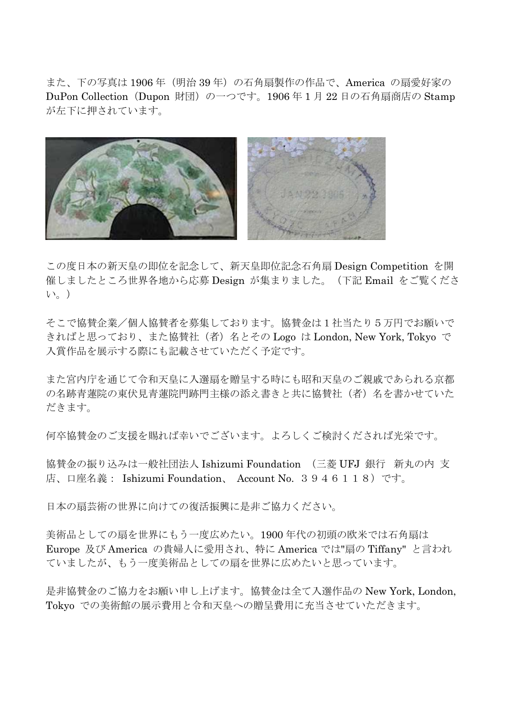また、下の写真は 1906年 (明治 39年)の石角扇製作の作品で、America の扇愛好家の DuPon Collection (Dupon 財団) の一つです。1906 年 1 月 22 日の石角扇商店の Stamp が左下に押されています。



この度日本の新天皇の即位を記念して、新天皇即位記念石角扇 Design Competition を開 催しましたところ世界各地から応募 Design が集まりました。(下記 Email をご覧くださ  $V_{\infty}$ )

そこで協賛企業/個人協賛者を募集しております。協賛金は1社当たり5万円でお願いで きればと思っており、また協賛社(者)名とその Logo は London, New York, Tokyo で 入賞作品を展示する際にも記載させていただく予定です。

また宮内庁を通じて令和天皇に入選扇を贈呈する時にも昭和天皇のご親戚であられる京都 の名跡青蓮院の東伏見青蓮院門跡門主様の添え書きと共に協賛社(者)名を書かせていた だきます。

何卒協賛金のご支援を賜れば幸いでございます。よろしくご検討くだされば光栄です。

協賛金の振り込みは一般社団法人 Ishizumi Foundation (三菱 UFJ 銀行 新丸の内 支 店、口座名義: Ishizumi Foundation、 Account No. 3946118)です。

日本の扇芸術の世界に向けての復活振興に是非ご協力ください。

美術品としての扇を世界にもう一度広めたい。1900 年代の初頭の欧米では石角扇は Europe 及び America の貴婦人に愛用され、特に America では"扇の Tiffany" と言われ ていましたが、もう一度美術品としての扇を世界に広めたいと思っています。

是非協賛金のご協力をお願い申し上げます。協賛金は全て入選作品の New York, London, Tokyo での美術館の展示費用と令和天皇への贈呈費用に充当させていただきます。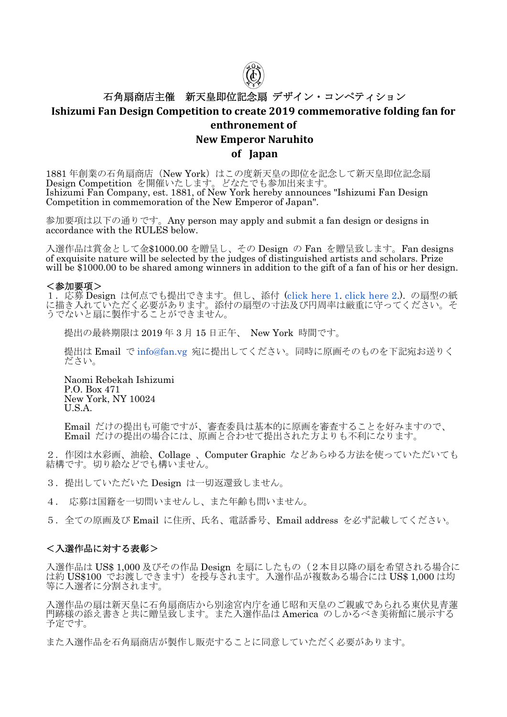

# 石角扇商店主催 新天皇即位記念扇 デザイン・コンペティション **Ishizumi Fan Design Competition to create 2019 commemorative folding fan for**

## **enthronement of**

### **New Emperor Naruhito**

#### **of Japan**

1881年創業の石角扇商店 (New York) はこの度新天皇の即位を記念して新天皇即位記念扇 Design Competition を開催いたします。どなたでも参加出来ます。 Ishizumi Fan Company, est. 1881, of New York hereby announces "Ishizumi Fan Design Competition in commemoration of the New Emperor of Japan".

参加要項は以下の通りです。Any person may apply and submit a fan design or designs in accordance with the RULES below.

入選作品は賞金として金\$1000.00 を贈呈し、その Design の Fan を贈呈致します。Fan designs of exquisite nature will be selected by the judges of distinguished artists and scholars. Prize will be \$1000.00 to be shared among winners in addition to the gift of a fan of his or her design.

#### <参加要項>

1.応募 Design は何点でも提出できます。但し、添付 (click here 1. click here 2.). の扇型の紙 に描き入れていただく必要があります。添付の扇型の寸法及び円周率は厳重に守ってください。そ うでないと扇に製作することができません。

提出の最終期限は 2019 年 3 月 15 日正午、 New York 時間です。

提出は Email で info@fan.vg 宛に提出してください。同時に原画そのものを下記宛お送りく ださい。

Naomi Rebekah Ishizumi P.O. Box 471 New York, NY 10024 U.S.A.

Email だけの提出も可能ですが、審査委員は基本的に原画を審査することを好みますので、 Email だけの提出の場合には、原画と合わせて提出された方よりも不利になります。

2.作図は水彩画、油絵、Collage 、Computer Graphic などあらゆる方法を使っていただいても 結構です。切り絵などでも構いません。

3. 提出していただいた Design は一切返還致しません。

4. 応募は国籍を一切問いませんし、また年齢も問いません。

5.全ての原画及び Email に住所、氏名、電話番号、Email address を必ず記載してください。

#### <入選作品に対する表彰>

入選作品は US\$ 1,000 及びその作品 Design を扇にしたもの (2本目以降の扇を希望される場合に は約 US\$100 でお渡しできます)を授与されます。入選作品が複数ある場合には US\$ 1,000 は均 等に入選者に分割されます。

入選作品の扇は新天皇に石角扇商店から別途宮内庁を通じ昭和天皇のご親戚であられる東伏見青蓮 門跡様の添え書きと共に贈呈致します。また入選作品は America のしかるべき美術館に展示する 予定です。

また入選作品を石角扇商店が製作し販売することに同意していただく必要があります。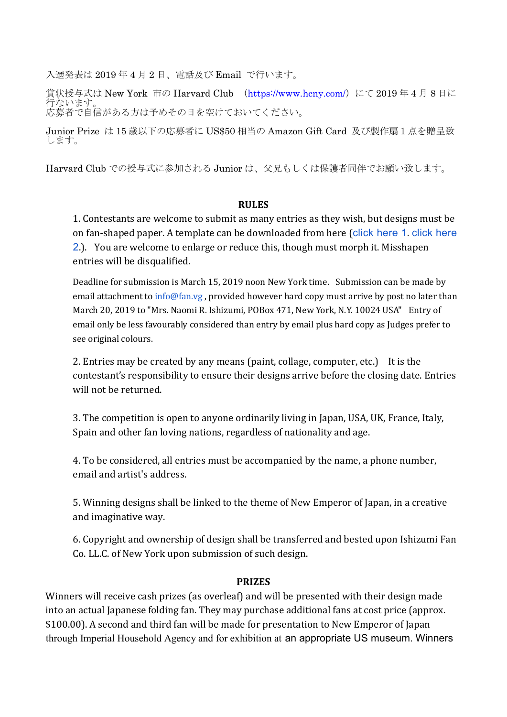入選発表は 2019 年 4 月 2 日、電話及び Email で行います。

賞状授与式は New York 市の Harvard Club (https://www.hcny.com/) にて 2019年4月8日に 行ないます。 応募者で自信がある方は予めその日を空けておいてください。

Junior Prize は 15 歳以下の応募者に US\$50 相当の Amazon Gift Card 及び製作扇1点を贈呈致 します。

Harvard Club での授与式に参加される Junior は、父兄もしくは保護者同伴でお願い致します。

#### **RULES**

1. Contestants are welcome to submit as many entries as they wish, but designs must be on fan-shaped paper. A template can be downloaded from here (click here 1. click here 2.). You are welcome to enlarge or reduce this, though must morph it. Misshapen entries will be disqualified.

Deadline for submission is March 15, 2019 noon New York time. Submission can be made by email attachment to info@fan.vg, provided however hard copy must arrive by post no later than March 20, 2019 to "Mrs. Naomi R. Ishizumi, POBox 471, New York, N.Y. 10024 USA" Entry of email only be less favourably considered than entry by email plus hard copy as Judges prefer to see original colours.

2. Entries may be created by any means (paint, collage, computer, etc.) It is the contestant's responsibility to ensure their designs arrive before the closing date. Entries will not be returned.

3. The competition is open to anyone ordinarily living in Japan, USA, UK, France, Italy, Spain and other fan loving nations, regardless of nationality and age.

4. To be considered, all entries must be accompanied by the name, a phone number, email and artist's address.

5. Winning designs shall be linked to the theme of New Emperor of Japan, in a creative and imaginative way.

6. Copyright and ownership of design shall be transferred and bested upon Ishizumi Fan Co. LL.C. of New York upon submission of such design.

#### **PRIZES**

Winners will receive cash prizes (as overleaf) and will be presented with their design made into an actual Japanese folding fan. They may purchase additional fans at cost price (approx. \$100.00). A second and third fan will be made for presentation to New Emperor of Japan through Imperial Household Agency and for exhibition at an appropriate US museum. Winners